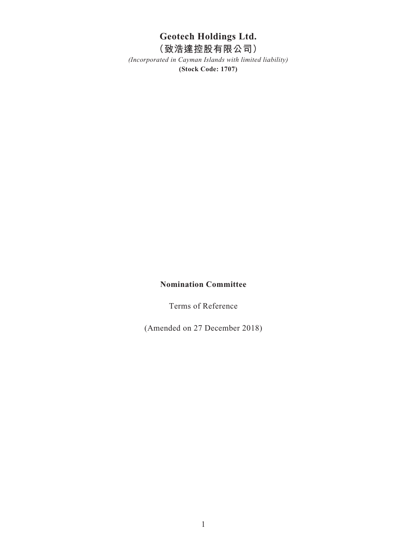# **Geotech Holdings Ltd.**

# **(致浩達控股有限公司)**

*(Incorporated in Cayman Islands with limited liability)* **(Stock Code: 1707)**

### **Nomination Committee**

Terms of Reference

(Amended on 27 December 2018)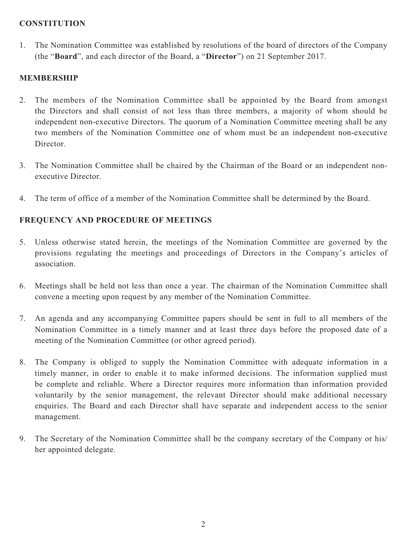#### **CONSTITUTION**

1. The Nomination Committee was established by resolutions of the board of directors of the Company (the "**Board**", and each director of the Board, a "**Director**") on 21 September 2017.

# **MEMBERSHIP**

- 2. The members of the Nomination Committee shall be appointed by the Board from amongst the Directors and shall consist of not less than three members, a majority of whom should be independent non-executive Directors. The quorum of a Nomination Committee meeting shall be any two members of the Nomination Committee one of whom must be an independent non-executive Director.
- 3. The Nomination Committee shall be chaired by the Chairman of the Board or an independent nonexecutive Director.
- 4. The term of office of a member of the Nomination Committee shall be determined by the Board.

# **FREQUENCY AND PROCEDURE OF MEETINGS**

- 5. Unless otherwise stated herein, the meetings of the Nomination Committee are governed by the provisions regulating the meetings and proceedings of Directors in the Company's articles of association.
- 6. Meetings shall be held not less than once a year. The chairman of the Nomination Committee shall convene a meeting upon request by any member of the Nomination Committee.
- 7. An agenda and any accompanying Committee papers should be sent in full to all members of the Nomination Committee in a timely manner and at least three days before the proposed date of a meeting of the Nomination Committee (or other agreed period).
- 8. The Company is obliged to supply the Nomination Committee with adequate information in a timely manner, in order to enable it to make informed decisions. The information supplied must be complete and reliable. Where a Director requires more information than information provided voluntarily by the senior management, the relevant Director should make additional necessary enquiries. The Board and each Director shall have separate and independent access to the senior management.
- 9. The Secretary of the Nomination Committee shall be the company secretary of the Company or his/ her appointed delegate.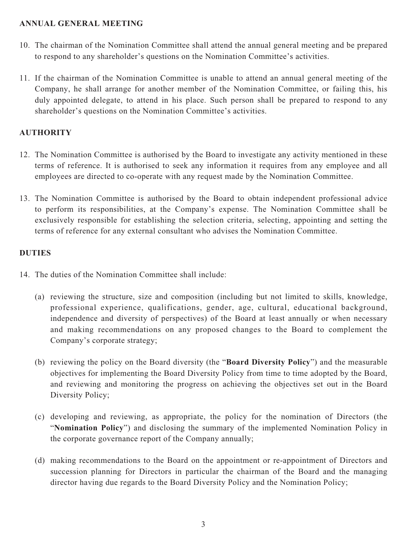#### **ANNUAL GENERAL MEETING**

- 10. The chairman of the Nomination Committee shall attend the annual general meeting and be prepared to respond to any shareholder's questions on the Nomination Committee's activities.
- 11. If the chairman of the Nomination Committee is unable to attend an annual general meeting of the Company, he shall arrange for another member of the Nomination Committee, or failing this, his duly appointed delegate, to attend in his place. Such person shall be prepared to respond to any shareholder's questions on the Nomination Committee's activities.

# **AUTHORITY**

- 12. The Nomination Committee is authorised by the Board to investigate any activity mentioned in these terms of reference. It is authorised to seek any information it requires from any employee and all employees are directed to co-operate with any request made by the Nomination Committee.
- 13. The Nomination Committee is authorised by the Board to obtain independent professional advice to perform its responsibilities, at the Company's expense. The Nomination Committee shall be exclusively responsible for establishing the selection criteria, selecting, appointing and setting the terms of reference for any external consultant who advises the Nomination Committee.

### **DUTIES**

- 14. The duties of the Nomination Committee shall include:
	- (a) reviewing the structure, size and composition (including but not limited to skills, knowledge, professional experience, qualifications, gender, age, cultural, educational background, independence and diversity of perspectives) of the Board at least annually or when necessary and making recommendations on any proposed changes to the Board to complement the Company's corporate strategy;
	- (b) reviewing the policy on the Board diversity (the "**Board Diversity Policy**") and the measurable objectives for implementing the Board Diversity Policy from time to time adopted by the Board, and reviewing and monitoring the progress on achieving the objectives set out in the Board Diversity Policy;
	- (c) developing and reviewing, as appropriate, the policy for the nomination of Directors (the "**Nomination Policy**") and disclosing the summary of the implemented Nomination Policy in the corporate governance report of the Company annually;
	- (d) making recommendations to the Board on the appointment or re-appointment of Directors and succession planning for Directors in particular the chairman of the Board and the managing director having due regards to the Board Diversity Policy and the Nomination Policy;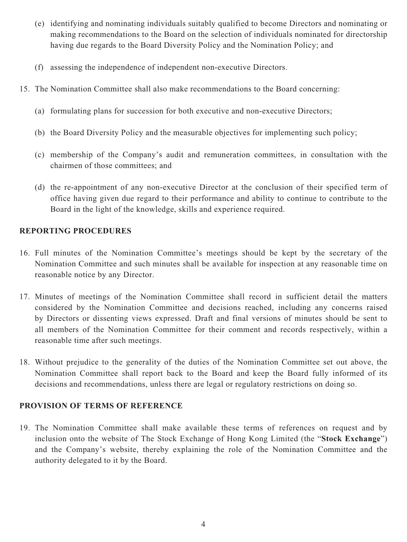- (e) identifying and nominating individuals suitably qualified to become Directors and nominating or making recommendations to the Board on the selection of individuals nominated for directorship having due regards to the Board Diversity Policy and the Nomination Policy; and
- (f) assessing the independence of independent non-executive Directors.
- 15. The Nomination Committee shall also make recommendations to the Board concerning:
	- (a) formulating plans for succession for both executive and non-executive Directors;
	- (b) the Board Diversity Policy and the measurable objectives for implementing such policy;
	- (c) membership of the Company's audit and remuneration committees, in consultation with the chairmen of those committees; and
	- (d) the re-appointment of any non-executive Director at the conclusion of their specified term of office having given due regard to their performance and ability to continue to contribute to the Board in the light of the knowledge, skills and experience required.

#### **REPORTING PROCEDURES**

- 16. Full minutes of the Nomination Committee's meetings should be kept by the secretary of the Nomination Committee and such minutes shall be available for inspection at any reasonable time on reasonable notice by any Director.
- 17. Minutes of meetings of the Nomination Committee shall record in sufficient detail the matters considered by the Nomination Committee and decisions reached, including any concerns raised by Directors or dissenting views expressed. Draft and final versions of minutes should be sent to all members of the Nomination Committee for their comment and records respectively, within a reasonable time after such meetings.
- 18. Without prejudice to the generality of the duties of the Nomination Committee set out above, the Nomination Committee shall report back to the Board and keep the Board fully informed of its decisions and recommendations, unless there are legal or regulatory restrictions on doing so.

# **PROVISION OF TERMS OF REFERENCE**

19. The Nomination Committee shall make available these terms of references on request and by inclusion onto the website of The Stock Exchange of Hong Kong Limited (the "**Stock Exchange**") and the Company's website, thereby explaining the role of the Nomination Committee and the authority delegated to it by the Board.